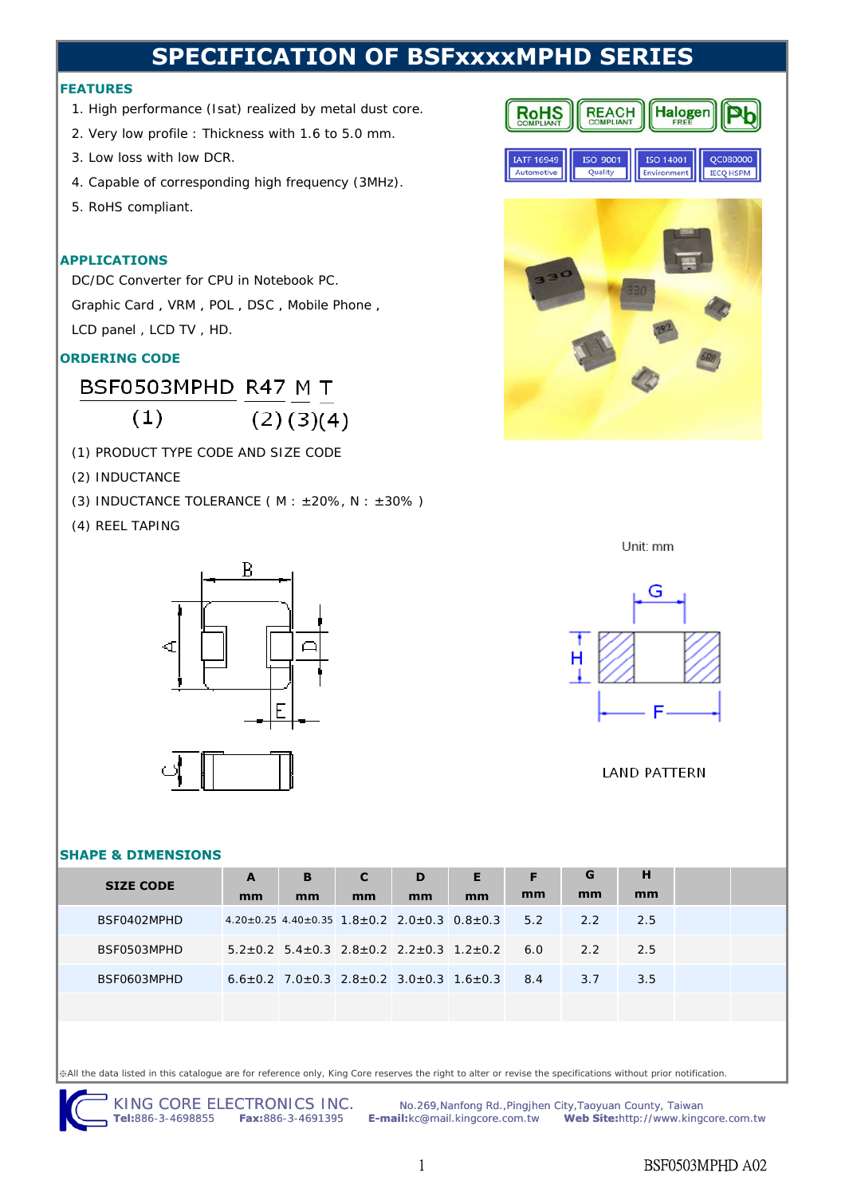## **SPECIFICATION OF BSFxxxxMPHD SERIES**

## **FEATURES**

- 1. High performance (Isat) realized by metal dust core.
- 2. Very low profile : Thickness with 1.6 to 5.0 mm.
- 3. Low loss with low DCR.
- 4. Capable of corresponding high frequency (3MHz).
- 5. RoHS compliant.

## **APPLICATIONS**

DC/DC Converter for CPU in Notebook PC. Graphic Card, VRM, POL, DSC, Mobile Phone, LCD panel , LCD TV , HD.

## **ORDERING CODE**

BSF0503MPHD R47 M T  $(1)$  $(2)(3)(4)$ 

- (1) PRODUCT TYPE CODE AND SIZE CODE
- (2) INDUCTANCE
- (3) INDUCTANCE TOLERANCE ( $M : ±20\%$ ,  $N : ±30\%$ )
- (4) REEL TAPING



#### **REACH** Halogen **RoHS IATF 16949** ISO 9001 ISO 14001 QC080000 Ouality Environment **IECQ HSPM** Automotive



Unit: mm



## **LAND PATTERN**

## **SHAPE & DIMENSIONS**

| <b>SIZE CODE</b> | A  | B                                                                         | C  | D  | Е  | F   | G   | н   |  |
|------------------|----|---------------------------------------------------------------------------|----|----|----|-----|-----|-----|--|
|                  | mm | mm                                                                        | mm | mm | mm | mm  | mm  | mm  |  |
| BSF0402MPHD      |    | $4.20 \pm 0.25$ $4.40 \pm 0.35$ $1.8 \pm 0.2$ $2.0 \pm 0.3$ $0.8 \pm 0.3$ |    |    |    | 5.2 | 2.2 | 2.5 |  |
| BSF0503MPHD      |    | $5.2\pm0.2$ 5.4 $\pm$ 0.3 2.8 $\pm$ 0.2 2.2 $\pm$ 0.3 1.2 $\pm$ 0.2       |    |    |    | 6.0 | 2.2 | 2.5 |  |
| BSF0603MPHD      |    | $6.6\pm0.2$ 7.0 $\pm$ 0.3 2.8 $\pm$ 0.2 3.0 $\pm$ 0.3 1.6 $\pm$ 0.3 8.4   |    |    |    |     | 3.7 | 3.5 |  |
|                  |    |                                                                           |    |    |    |     |     |     |  |

※All the data listed in this catalogue are for reference only, King Core reserves the right to alter or revise the specifications without prior notification.

KING CORE ELECTRONICS INC. Mo.269, Nanfong Rd., Pingjhen City, Taoyuan County, Taiwan<br>Tel:886-3-4698855 Fax:886-3-4691395 E-mail:kc@mail.kingcore.com.tw Web Site:http://www.king **E-mail:**kc@mail.kingcore.com.tw **Web Site:**http://www.kingcore.com.tw